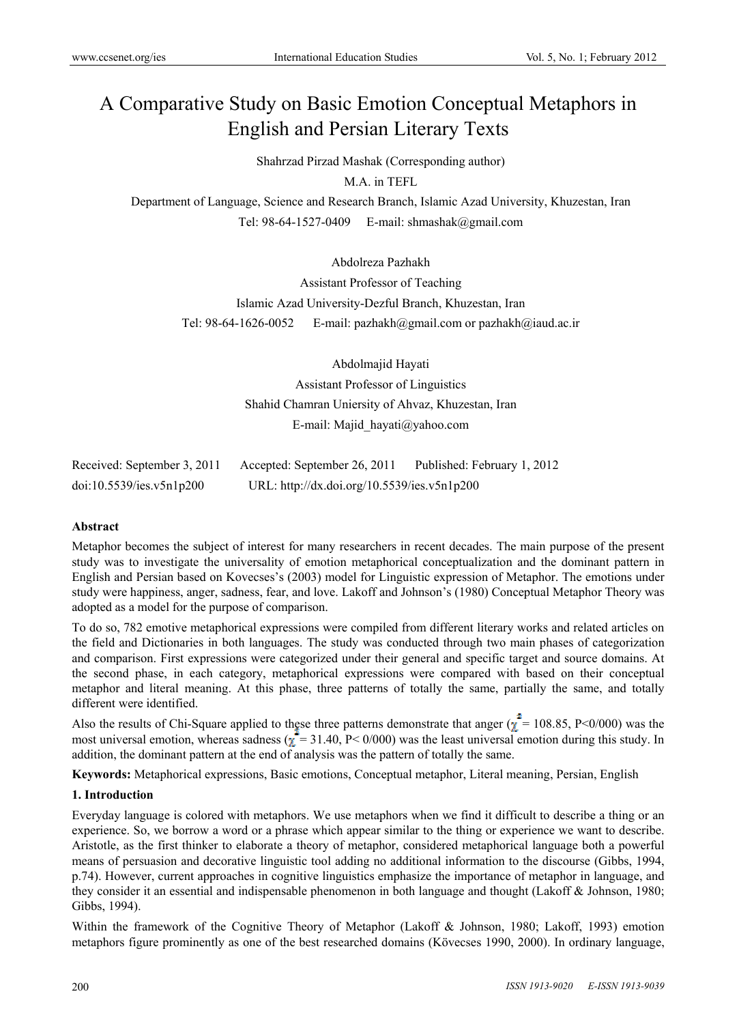# A Comparative Study on Basic Emotion Conceptual Metaphors in English and Persian Literary Texts

Shahrzad Pirzad Mashak (Corresponding author)

M.A. in TEFL

Department of Language, Science and Research Branch, Islamic Azad University, Khuzestan, Iran Tel: 98-64-1527-0409 E-mail: shmashak@gmail.com

# Abdolreza Pazhakh

Assistant Professor of Teaching Islamic Azad University-Dezful Branch, Khuzestan, Iran Tel: 98-64-1626-0052 E-mail: pazhakh@gmail.com or pazhakh@iaud.ac.ir

> Abdolmajid Hayati Assistant Professor of Linguistics Shahid Chamran Uniersity of Ahvaz, Khuzestan, Iran E-mail: Majid\_hayati@yahoo.com

| Received: September 3, 2011 | Accepted: September 26, 2011                | Published: February 1, 2012 |
|-----------------------------|---------------------------------------------|-----------------------------|
| doi:10.5539/ies.v5n1p200    | URL: http://dx.doi.org/10.5539/ies.v5n1p200 |                             |

#### **Abstract**

Metaphor becomes the subject of interest for many researchers in recent decades. The main purpose of the present study was to investigate the universality of emotion metaphorical conceptualization and the dominant pattern in English and Persian based on Kovecses's (2003) model for Linguistic expression of Metaphor. The emotions under study were happiness, anger, sadness, fear, and love. Lakoff and Johnson's (1980) Conceptual Metaphor Theory was adopted as a model for the purpose of comparison.

To do so, 782 emotive metaphorical expressions were compiled from different literary works and related articles on the field and Dictionaries in both languages. The study was conducted through two main phases of categorization and comparison. First expressions were categorized under their general and specific target and source domains. At the second phase, in each category, metaphorical expressions were compared with based on their conceptual metaphor and literal meaning. At this phase, three patterns of totally the same, partially the same, and totally different were identified.

Also the results of Chi-Square applied to these three patterns demonstrate that anger  $\chi^2 = 108.85$ , P<0/000) was the most universal emotion, whereas sadness ( $\chi^2 = 31.40$ , P< 0/000) was the least universal emotion during this study. In addition, the dominant pattern at the end of analysis was the pattern of totally the same.

**Keywords:** Metaphorical expressions, Basic emotions, Conceptual metaphor, Literal meaning, Persian, English

#### **1. Introduction**

Everyday language is colored with metaphors. We use metaphors when we find it difficult to describe a thing or an experience. So, we borrow a word or a phrase which appear similar to the thing or experience we want to describe. Aristotle, as the first thinker to elaborate a theory of metaphor, considered metaphorical language both a powerful means of persuasion and decorative linguistic tool adding no additional information to the discourse (Gibbs, 1994, p.74). However, current approaches in cognitive linguistics emphasize the importance of metaphor in language, and they consider it an essential and indispensable phenomenon in both language and thought (Lakoff & Johnson, 1980; Gibbs, 1994).

Within the framework of the Cognitive Theory of Metaphor (Lakoff & Johnson, 1980; Lakoff, 1993) emotion metaphors figure prominently as one of the best researched domains (Kövecses 1990, 2000). In ordinary language,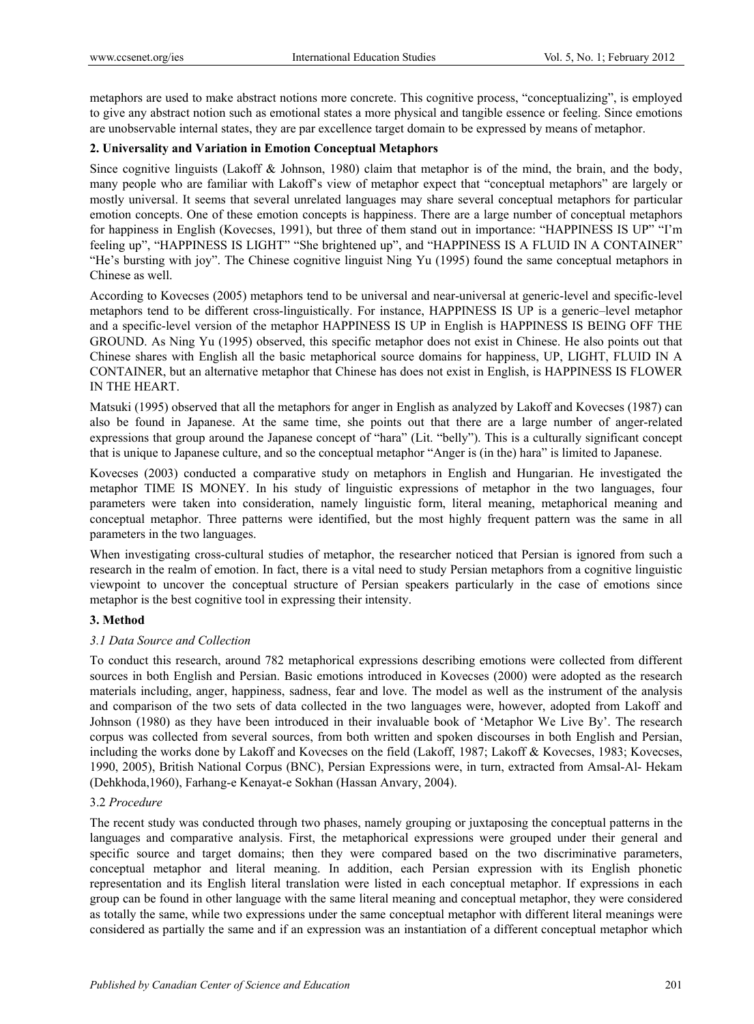metaphors are used to make abstract notions more concrete. This cognitive process, "conceptualizing", is employed to give any abstract notion such as emotional states a more physical and tangible essence or feeling. Since emotions are unobservable internal states, they are par excellence target domain to be expressed by means of metaphor.

# **2. Universality and Variation in Emotion Conceptual Metaphors**

Since cognitive linguists (Lakoff & Johnson, 1980) claim that metaphor is of the mind, the brain, and the body, many people who are familiar with Lakoff's view of metaphor expect that "conceptual metaphors" are largely or mostly universal. It seems that several unrelated languages may share several conceptual metaphors for particular emotion concepts. One of these emotion concepts is happiness. There are a large number of conceptual metaphors for happiness in English (Kovecses, 1991), but three of them stand out in importance: "HAPPINESS IS UP" "I'm feeling up", "HAPPINESS IS LIGHT" "She brightened up", and "HAPPINESS IS A FLUID IN A CONTAINER" "He's bursting with joy". The Chinese cognitive linguist Ning Yu (1995) found the same conceptual metaphors in Chinese as well.

According to Kovecses (2005) metaphors tend to be universal and near-universal at generic-level and specific-level metaphors tend to be different cross-linguistically. For instance, HAPPINESS IS UP is a generic–level metaphor and a specific-level version of the metaphor HAPPINESS IS UP in English is HAPPINESS IS BEING OFF THE GROUND. As Ning Yu (1995) observed, this specific metaphor does not exist in Chinese. He also points out that Chinese shares with English all the basic metaphorical source domains for happiness, UP, LIGHT, FLUID IN A CONTAINER, but an alternative metaphor that Chinese has does not exist in English, is HAPPINESS IS FLOWER IN THE HEART.

Matsuki (1995) observed that all the metaphors for anger in English as analyzed by Lakoff and Kovecses (1987) can also be found in Japanese. At the same time, she points out that there are a large number of anger-related expressions that group around the Japanese concept of "hara" (Lit. "belly"). This is a culturally significant concept that is unique to Japanese culture, and so the conceptual metaphor "Anger is (in the) hara" is limited to Japanese.

Kovecses (2003) conducted a comparative study on metaphors in English and Hungarian. He investigated the metaphor TIME IS MONEY. In his study of linguistic expressions of metaphor in the two languages, four parameters were taken into consideration, namely linguistic form, literal meaning, metaphorical meaning and conceptual metaphor. Three patterns were identified, but the most highly frequent pattern was the same in all parameters in the two languages.

When investigating cross-cultural studies of metaphor, the researcher noticed that Persian is ignored from such a research in the realm of emotion. In fact, there is a vital need to study Persian metaphors from a cognitive linguistic viewpoint to uncover the conceptual structure of Persian speakers particularly in the case of emotions since metaphor is the best cognitive tool in expressing their intensity.

## **3. Method**

## *3.1 Data Source and Collection*

To conduct this research, around 782 metaphorical expressions describing emotions were collected from different sources in both English and Persian. Basic emotions introduced in Kovecses (2000) were adopted as the research materials including, anger, happiness, sadness, fear and love. The model as well as the instrument of the analysis and comparison of the two sets of data collected in the two languages were, however, adopted from Lakoff and Johnson (1980) as they have been introduced in their invaluable book of 'Metaphor We Live By'. The research corpus was collected from several sources, from both written and spoken discourses in both English and Persian, including the works done by Lakoff and Kovecses on the field (Lakoff, 1987; Lakoff & Kovecses, 1983; Kovecses, 1990, 2005), British National Corpus (BNC), Persian Expressions were, in turn, extracted from Amsal-Al- Hekam (Dehkhoda,1960), Farhang-e Kenayat-e Sokhan (Hassan Anvary, 2004).

# 3.2 *Procedure*

The recent study was conducted through two phases, namely grouping or juxtaposing the conceptual patterns in the languages and comparative analysis. First, the metaphorical expressions were grouped under their general and specific source and target domains; then they were compared based on the two discriminative parameters, conceptual metaphor and literal meaning. In addition, each Persian expression with its English phonetic representation and its English literal translation were listed in each conceptual metaphor. If expressions in each group can be found in other language with the same literal meaning and conceptual metaphor, they were considered as totally the same, while two expressions under the same conceptual metaphor with different literal meanings were considered as partially the same and if an expression was an instantiation of a different conceptual metaphor which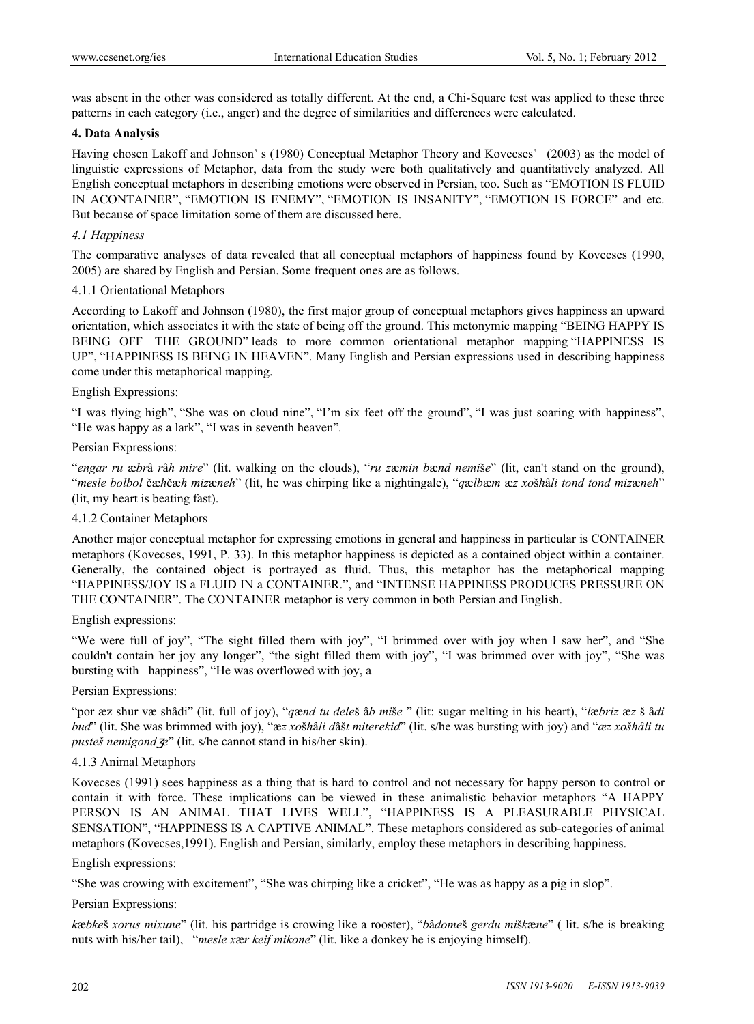was absent in the other was considered as totally different. At the end, a Chi-Square test was applied to these three patterns in each category (i.e., anger) and the degree of similarities and differences were calculated.

## **4. Data Analysis**

Having chosen Lakoff and Johnson' s (1980) Conceptual Metaphor Theory and Kovecses' (2003) as the model of linguistic expressions of Metaphor, data from the study were both qualitatively and quantitatively analyzed. All English conceptual metaphors in describing emotions were observed in Persian, too. Such as "EMOTION IS FLUID IN ACONTAINER", "EMOTION IS ENEMY", "EMOTION IS INSANITY", "EMOTION IS FORCE" and etc. But because of space limitation some of them are discussed here.

# *4.1 Happiness*

The comparative analyses of data revealed that all conceptual metaphors of happiness found by Kovecses (1990, 2005) are shared by English and Persian. Some frequent ones are as follows.

## 4.1.1 Orientational Metaphors

According to Lakoff and Johnson (1980), the first major group of conceptual metaphors gives happiness an upward orientation, which associates it with the state of being off the ground. This metonymic mapping "BEING HAPPY IS BEING OFF THE GROUND" leads to more common orientational metaphor mapping "HAPPINESS IS UP", "HAPPINESS IS BEING IN HEAVEN". Many English and Persian expressions used in describing happiness come under this metaphorical mapping.

## English Expressions:

"I was flying high", "She was on cloud nine", "I'm six feet off the ground", "I was just soaring with happiness", "He was happy as a lark", "I was in seventh heaven"*.*

## Persian Expressions:

"*engar ru* æ*br*â *r*â*h mire*" (lit. walking on the clouds), "*ru z*æ*min b*æ*nd nemi*š*e*" (lit, can't stand on the ground), "*mesle bolbol* čæ*h*čæ*h miz*æ*neh*" (lit, he was chirping like a nightingale), "*q*æ*lb*æ*m* æ*z xo*š*h*â*li tond tond miz*æ*neh*" (lit, my heart is beating fast).

# 4.1.2 Container Metaphors

Another major conceptual metaphor for expressing emotions in general and happiness in particular is CONTAINER metaphors (Kovecses, 1991, P. 33). In this metaphor happiness is depicted as a contained object within a container. Generally, the contained object is portrayed as fluid. Thus, this metaphor has the metaphorical mapping "HAPPINESS/JOY IS a FLUID IN a CONTAINER.", and "INTENSE HAPPINESS PRODUCES PRESSURE ON THE CONTAINER". The CONTAINER metaphor is very common in both Persian and English.

## English expressions:

"We were full of joy", "The sight filled them with joy", "I brimmed over with joy when I saw her", and "She couldn't contain her joy any longer", "the sight filled them with joy", "I was brimmed over with joy", "She was bursting with happiness", "He was overflowed with joy, a

## Persian Expressions:

"por æz shur væ shâdi" (lit. full of joy), "*q*æ*nd tu dele*š â*b mi*š*e* " (lit: sugar melting in his heart), "*l*æ*briz* æ*z* š â*di bud*" (lit. She was brimmed with joy), "æ*z xo*š*h*â*li d*âš*t miterekid*" (lit. s/he was bursting with joy) and "*æz xošhâli tu pusteš nemigond e*" (lit. s/he cannot stand in his/her skin).

## 4.1.3 Animal Metaphors

Kovecses (1991) sees happiness as a thing that is hard to control and not necessary for happy person to control or contain it with force. These implications can be viewed in these animalistic behavior metaphors "A HAPPY PERSON IS AN ANIMAL THAT LIVES WELL", "HAPPINESS IS A PLEASURABLE PHYSICAL SENSATION", "HAPPINESS IS A CAPTIVE ANIMAL". These metaphors considered as sub-categories of animal metaphors (Kovecses,1991). English and Persian, similarly, employ these metaphors in describing happiness.

## English expressions:

"She was crowing with excitement", "She was chirping like a cricket", "He was as happy as a pig in slop".

## Persian Expressions:

*k*æ*bke*š *xorus mixune*" (lit. his partridge is crowing like a rooster), "*b*â*dome*š *gerdu mi*š*k*æ*ne*" ( lit. s/he is breaking nuts with his/her tail), "*mesle x*æ*r keif mikone*" (lit. like a donkey he is enjoying himself).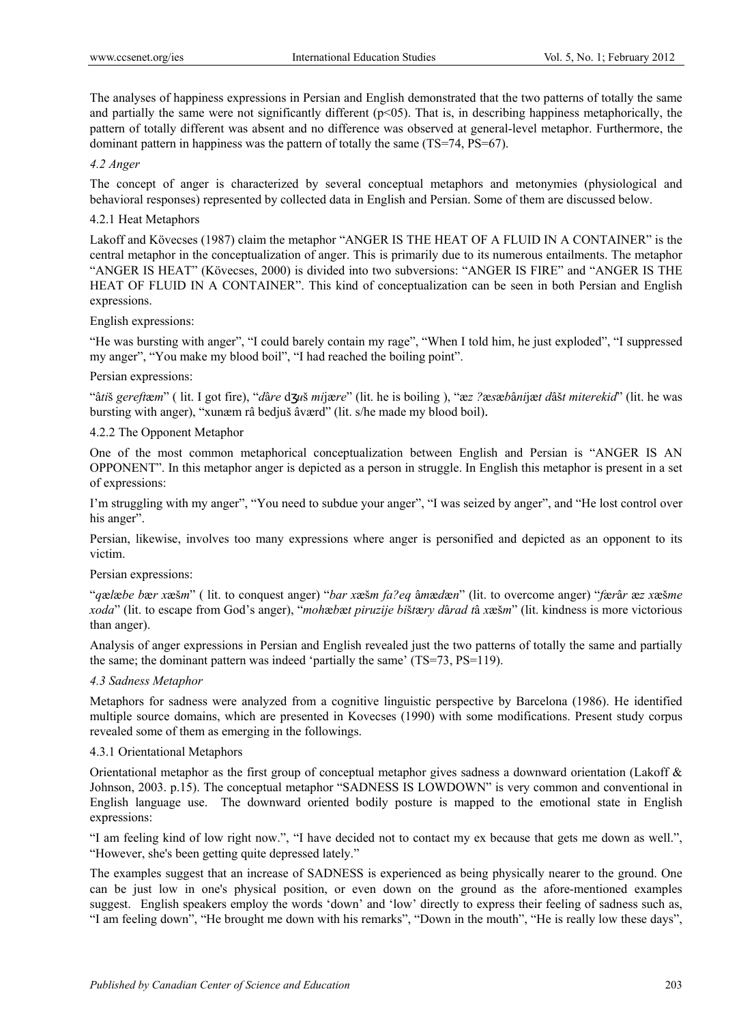The analyses of happiness expressions in Persian and English demonstrated that the two patterns of totally the same and partially the same were not significantly different  $(p<0.5)$ . That is, in describing happiness metaphorically, the pattern of totally different was absent and no difference was observed at general-level metaphor. Furthermore, the dominant pattern in happiness was the pattern of totally the same (TS=74, PS=67).

## *4.2 Anger*

The concept of anger is characterized by several conceptual metaphors and metonymies (physiological and behavioral responses) represented by collected data in English and Persian. Some of them are discussed below.

## 4.2.1 Heat Metaphors

Lakoff and Kövecses (1987) claim the metaphor "ANGER IS THE HEAT OF A FLUID IN A CONTAINER" is the central metaphor in the conceptualization of anger. This is primarily due to its numerous entailments. The metaphor "ANGER IS HEAT" (Kövecses, 2000) is divided into two subversions: "ANGER IS FIRE" and "ANGER IS THE HEAT OF FLUID IN A CONTAINER". This kind of conceptualization can be seen in both Persian and English expressions.

#### English expressions:

"He was bursting with anger", "I could barely contain my rage", "When I told him, he just exploded", "I suppressed my anger", "You make my blood boil", "I had reached the boiling point".

#### Persian expressions:

"â*ti*š *gereft*æ*m*" ( lit. I got fire), "*d*â*re* d *u*š *mi*jæ*re*" (lit. he is boiling ), "æ*z ?*æ*s*æ*b*â*ni*jæ*t d*âš*t miterekid*" (lit. he was bursting with anger), "xunæm râ bedjuš âværd" (lit. s/he made my blood boil).

## 4.2.2 The Opponent Metaphor

One of the most common metaphorical conceptualization between English and Persian is "ANGER IS AN OPPONENT". In this metaphor anger is depicted as a person in struggle. In English this metaphor is present in a set of expressions:

I'm struggling with my anger", "You need to subdue your anger", "I was seized by anger", and "He lost control over his anger".

Persian, likewise, involves too many expressions where anger is personified and depicted as an opponent to its victim.

#### Persian expressions:

"*q*æ*l*æ*be b*æ*r x*æš*m*" ( lit. to conquest anger) "*bar x*æš*m fa?eq* â*m*æ*d*æ*n*" (lit. to overcome anger) "*f*æ*r*â*r* æ*z x*æš*me xoda*" (lit. to escape from God's anger), "*moh*æ*b*æ*t piruzije bi*š*t*æ*ry d*â*rad t*â *x*æš*m*" (lit. kindness is more victorious than anger).

Analysis of anger expressions in Persian and English revealed just the two patterns of totally the same and partially the same; the dominant pattern was indeed 'partially the same' (TS=73, PS=119).

#### *4.3 Sadness Metaphor*

Metaphors for sadness were analyzed from a cognitive linguistic perspective by Barcelona (1986). He identified multiple source domains, which are presented in Kovecses (1990) with some modifications. Present study corpus revealed some of them as emerging in the followings.

#### 4.3.1 Orientational Metaphors

Orientational metaphor as the first group of conceptual metaphor gives sadness a downward orientation (Lakoff & Johnson, 2003. p.15). The conceptual metaphor "SADNESS IS LOWDOWN" is very common and conventional in English language use. The downward oriented bodily posture is mapped to the emotional state in English expressions:

"I am feeling kind of low right now.", "I have decided not to contact my ex because that gets me down as well.", "However, she's been getting quite depressed lately."

The examples suggest that an increase of SADNESS is experienced as being physically nearer to the ground. One can be just low in one's physical position, or even down on the ground as the afore-mentioned examples suggest. English speakers employ the words 'down' and 'low' directly to express their feeling of sadness such as, "I am feeling down", "He brought me down with his remarks", "Down in the mouth", "He is really low these days",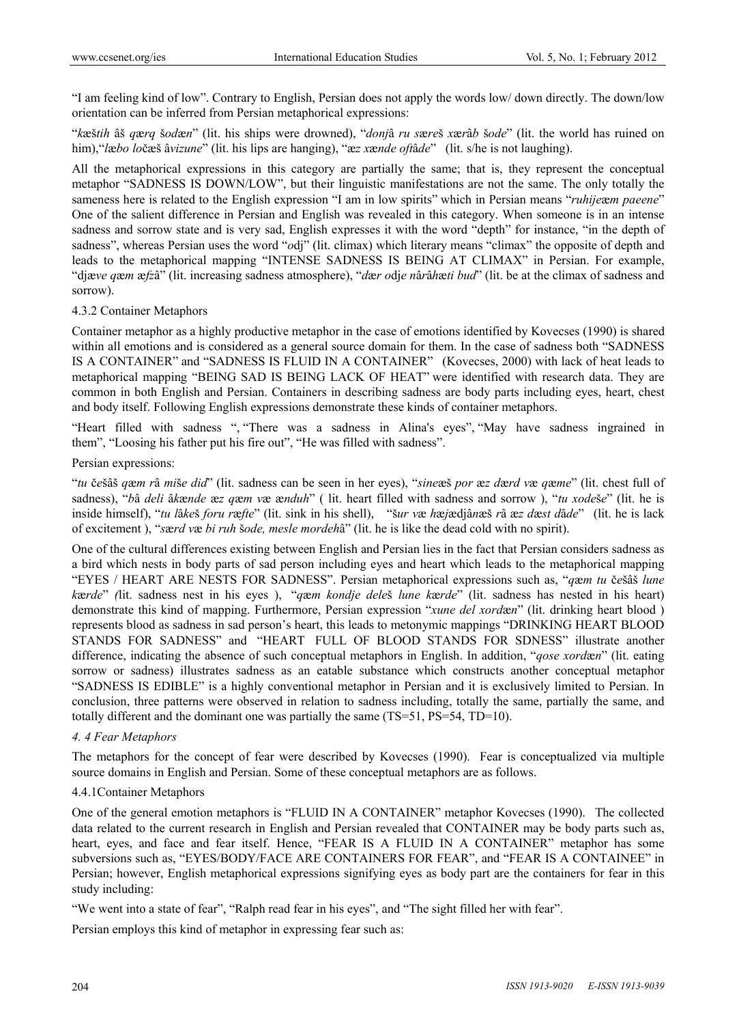"I am feeling kind of low". Contrary to English, Persian does not apply the words low/ down directly. The down/low orientation can be inferred from Persian metaphorical expressions:

"*k*æš*tih* âš *q*æ*rq* š*od*æ*n*" (lit. his ships were drowned), "*donj*â *ru s*æ*re*š *x*æ*r*â*b* š*ode*" (lit. the world has ruined on him),"*l*æ*bo lo*čæš â*vizune*" (lit. his lips are hanging), "æ*z x*æ*nde oft*â*de*" (lit. s/he is not laughing).

All the metaphorical expressions in this category are partially the same; that is, they represent the conceptual metaphor "SADNESS IS DOWN/LOW", but their linguistic manifestations are not the same. The only totally the sameness here is related to the English expression "I am in low spirits" which in Persian means "*ruhije*æ*m paeene*" One of the salient difference in Persian and English was revealed in this category. When someone is in an intense sadness and sorrow state and is very sad, English expresses it with the word "depth" for instance, "in the depth of sadness", whereas Persian uses the word "*o*dj" (lit. climax) which literary means "climax" the opposite of depth and leads to the metaphorical mapping "INTENSE SADNESS IS BEING AT CLIMAX" in Persian. For example, "djæ*ve q*æ*m* æ*fz*â" (lit. increasing sadness atmosphere), "*d*æ*r o*dj*e n*â*r*â*h*æ*ti bud*" (lit. be at the climax of sadness and sorrow).

## 4.3.2 Container Metaphors

Container metaphor as a highly productive metaphor in the case of emotions identified by Kovecses (1990) is shared within all emotions and is considered as a general source domain for them. In the case of sadness both "SADNESS" IS A CONTAINER" and "SADNESS IS FLUID IN A CONTAINER" (Kovecses, 2000) with lack of heat leads to metaphorical mapping "BEING SAD IS BEING LACK OF HEAT" were identified with research data. They are common in both English and Persian. Containers in describing sadness are body parts including eyes, heart, chest and body itself. Following English expressions demonstrate these kinds of container metaphors.

"Heart filled with sadness ", "There was a sadness in Alina's eyes", "May have sadness ingrained in them", "Loosing his father put his fire out", "He was filled with sadness".

## Persian expressions:

"*tu* č*e*šâš *q*æ*m r*â *mi*š*e did*" (lit. sadness can be seen in her eyes), "*sine*æš *por* æ*z d*æ*rd v*æ *q*æ*me*" (lit. chest full of sadness), "*b*â *deli* â*k*æ*nde* æ*z q*æ*m v*æ æ*nduh*" ( lit. heart filled with sadness and sorrow ), "*tu xode*š*e*" (lit. he is inside himself), "*tu l*â*ke*š *foru r*æ*fte*" (lit. sink in his shell), "š*ur v*æ *h*æ*j*ædjâ*n*æš *r*â æ*z d*æ*st d*â*de*" (lit. he is lack of excitement ), "*s*æ*rd v*æ *bi ruh* š*ode, mesle mordeh*â" (lit. he is like the dead cold with no spirit).

One of the cultural differences existing between English and Persian lies in the fact that Persian considers sadness as a bird which nests in body parts of sad person including eyes and heart which leads to the metaphorical mapping "EYES / HEART ARE NESTS FOR SADNESS". Persian metaphorical expressions such as, "*q*æ*m tu* č*e*šâš *lune k*æ*rde*" *(*lit. sadness nest in his eyes ), "*q*æ*m kondje dele*š *lune k*æ*rde*" (lit. sadness has nested in his heart) demonstrate this kind of mapping. Furthermore, Persian expression "*xune del xord*æ*n*" (lit. drinking heart blood ) represents blood as sadness in sad person's heart, this leads to metonymic mappings "DRINKING HEART BLOOD STANDS FOR SADNESS" and "HEART FULL OF BLOOD STANDS FOR SDNESS" illustrate another difference, indicating the absence of such conceptual metaphors in English. In addition, "*qose xord*æ*n*" (lit. eating sorrow or sadness) illustrates sadness as an eatable substance which constructs another conceptual metaphor "SADNESS IS EDIBLE" is a highly conventional metaphor in Persian and it is exclusively limited to Persian. In conclusion, three patterns were observed in relation to sadness including, totally the same, partially the same, and totally different and the dominant one was partially the same (TS=51, PS=54, TD=10).

## *4. 4 Fear Metaphors*

The metaphors for the concept of fear were described by Kovecses (1990). Fear is conceptualized via multiple source domains in English and Persian. Some of these conceptual metaphors are as follows.

## 4.4.1Container Metaphors

One of the general emotion metaphors is "FLUID IN A CONTAINER" metaphor Kovecses (1990). The collected data related to the current research in English and Persian revealed that CONTAINER may be body parts such as, heart, eyes, and face and fear itself. Hence, "FEAR IS A FLUID IN A CONTAINER" metaphor has some subversions such as, "EYES/BODY/FACE ARE CONTAINERS FOR FEAR", and "FEAR IS A CONTAINEE" in Persian; however, English metaphorical expressions signifying eyes as body part are the containers for fear in this study including:

"We went into a state of fear", "Ralph read fear in his eyes", and "The sight filled her with fear".

Persian employs this kind of metaphor in expressing fear such as: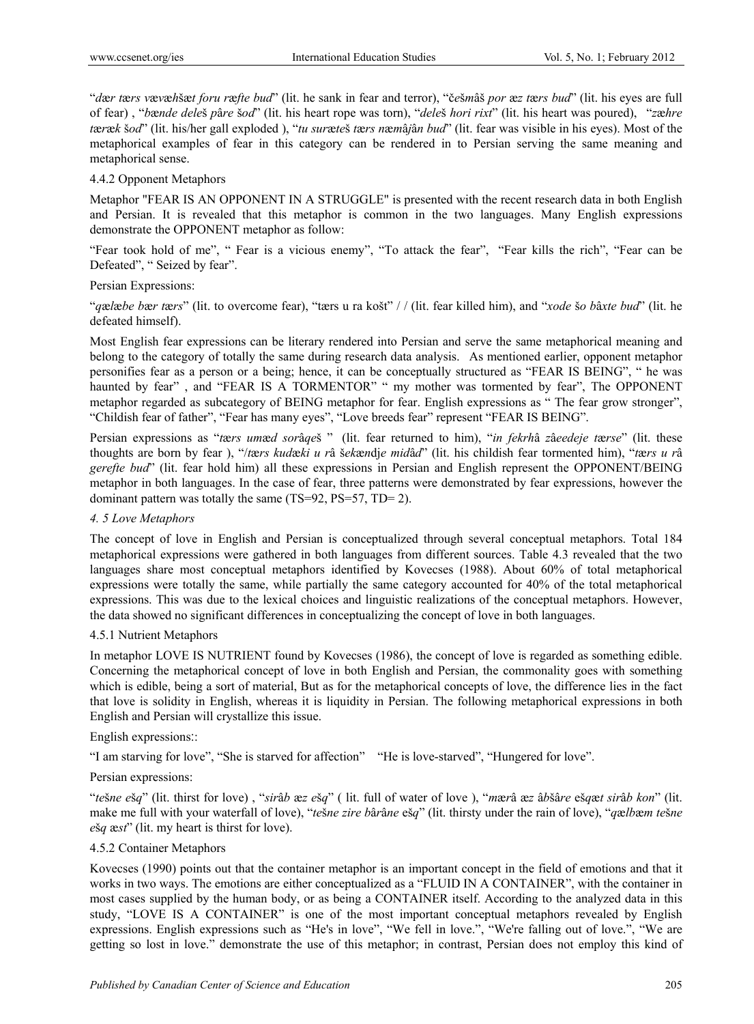"*d*æ*r t*æ*rs v*æ*v*æ*h*šæ*t foru r*æ*fte bud*" (lit. he sank in fear and terror), "č*e*š*m*âš *por* æ*z t*æ*rs bud*" (lit. his eyes are full of fear) , "*b*æ*nde dele*š *p*â*re* š*od*" (lit. his heart rope was torn), "*dele*š *hori rixt*" (lit. his heart was poured), "*z*æ*hre t*æ*r*æ*k* š*od*" (lit. his/her gall exploded ), "*tu sur*æ*te*š *t*æ*rs n*æ*m*â*j*â*n bud*" (lit. fear was visible in his eyes). Most of the metaphorical examples of fear in this category can be rendered in to Persian serving the same meaning and metaphorical sense.

## 4.4.2 Opponent Metaphors

Metaphor "FEAR IS AN OPPONENT IN A STRUGGLE" is presented with the recent research data in both English and Persian. It is revealed that this metaphor is common in the two languages. Many English expressions demonstrate the OPPONENT metaphor as follow:

"Fear took hold of me", " Fear is a vicious enemy", "To attack the fear", "Fear kills the rich", "Fear can be Defeated", " Seized by fear".

## Persian Expressions:

"*q*æ*l*æ*be b*æ*r t*æ*rs*" (lit. to overcome fear), "tærs u ra košt" / / (lit. fear killed him), and "*xode* š*o b*â*xte bud*" (lit. he defeated himself).

Most English fear expressions can be literary rendered into Persian and serve the same metaphorical meaning and belong to the category of totally the same during research data analysis. As mentioned earlier, opponent metaphor personifies fear as a person or a being; hence, it can be conceptually structured as "FEAR IS BEING", " he was haunted by fear", and "FEAR IS A TORMENTOR" " my mother was tormented by fear", The OPPONENT metaphor regarded as subcategory of BEING metaphor for fear. English expressions as " The fear grow stronger", "Childish fear of father", "Fear has many eyes", "Love breeds fear" represent "FEAR IS BEING".

Persian expressions as "*t*æ*rs um*æ*d sor*â*qe*š " (lit. fear returned to him), "*in fekrh*â *z*â*eedeje t*æ*rse*" (lit. these thoughts are born by fear ), "/*t*æ*rs kud*æ*ki u r*â š*ek*æ*n*dj*e mid*â*d*" (lit. his childish fear tormented him), "*t*æ*rs u r*â *gerefte bud*" (lit. fear hold him) all these expressions in Persian and English represent the OPPONENT/BEING metaphor in both languages. In the case of fear, three patterns were demonstrated by fear expressions, however the dominant pattern was totally the same (TS=92, PS=57, TD= 2).

## *4. 5 Love Metaphors*

The concept of love in English and Persian is conceptualized through several conceptual metaphors. Total 184 metaphorical expressions were gathered in both languages from different sources. Table 4.3 revealed that the two languages share most conceptual metaphors identified by Kovecses (1988). About 60% of total metaphorical expressions were totally the same, while partially the same category accounted for 40% of the total metaphorical expressions. This was due to the lexical choices and linguistic realizations of the conceptual metaphors. However, the data showed no significant differences in conceptualizing the concept of love in both languages.

## 4.5.1 Nutrient Metaphors

In metaphor LOVE IS NUTRIENT found by Kovecses (1986), the concept of love is regarded as something edible. Concerning the metaphorical concept of love in both English and Persian, the commonality goes with something which is edible, being a sort of material, But as for the metaphorical concepts of love, the difference lies in the fact that love is solidity in English, whereas it is liquidity in Persian. The following metaphorical expressions in both English and Persian will crystallize this issue.

## English expressions::

"I am starving for love", "She is starved for affection" "He is love-starved", "Hungered for love".

## Persian expressions:

"tešne ešq" (lit. thirst for love), "sirâb æz ešq" (lit. full of water of love), "mærâ æz âbšâre ešqæt sirâb kon" (lit. make me full with your waterfall of love), "*te*š*ne zire b*â*r*â*ne* eš*q*" (lit. thirsty under the rain of love), "*q*æ*lb*æ*m te*š*ne e*š*q* æ*st*" (lit. my heart is thirst for love).

## 4.5.2 Container Metaphors

Kovecses (1990) points out that the container metaphor is an important concept in the field of emotions and that it works in two ways. The emotions are either conceptualized as a "FLUID IN A CONTAINER", with the container in most cases supplied by the human body, or as being a CONTAINER itself. According to the analyzed data in this study, "LOVE IS A CONTAINER" is one of the most important conceptual metaphors revealed by English expressions. English expressions such as "He's in love", "We fell in love.", "We're falling out of love.", "We are getting so lost in love." demonstrate the use of this metaphor; in contrast, Persian does not employ this kind of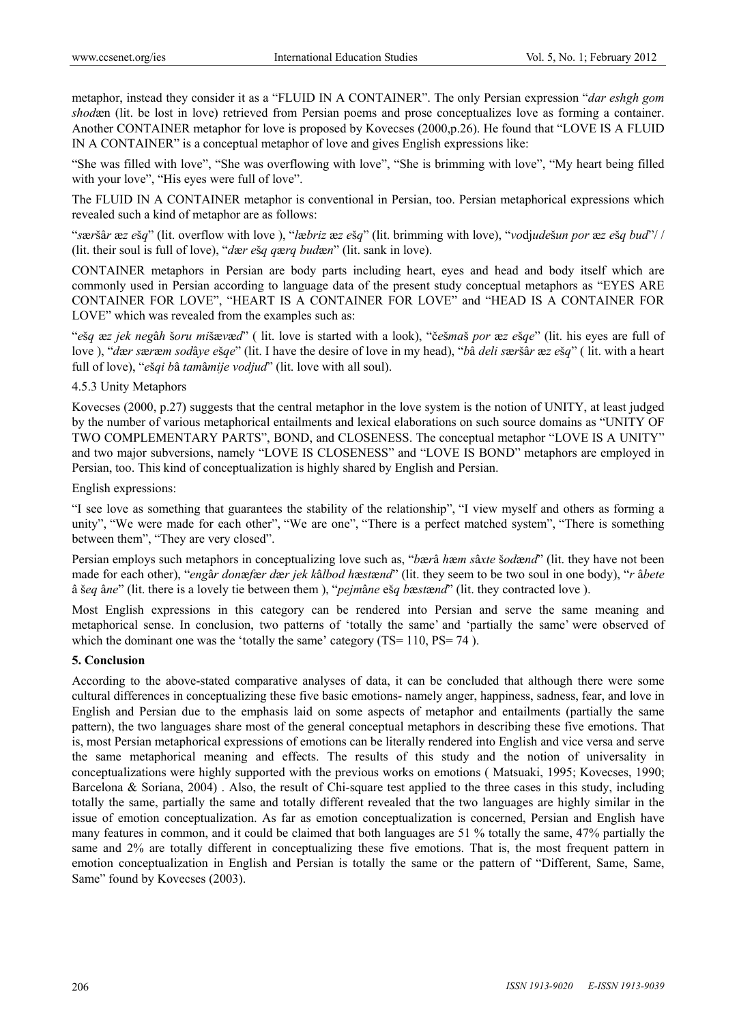metaphor, instead they consider it as a "FLUID IN A CONTAINER". The only Persian expression "*dar eshgh gom shod*æn (lit. be lost in love) retrieved from Persian poems and prose conceptualizes love as forming a container. Another CONTAINER metaphor for love is proposed by Kovecses (2000,p.26). He found that "LOVE IS A FLUID IN A CONTAINER" is a conceptual metaphor of love and gives English expressions like:

"She was filled with love", "She was overflowing with love", "She is brimming with love", "My heart being filled with your love", "His eyes were full of love".

The FLUID IN A CONTAINER metaphor is conventional in Persian, too. Persian metaphorical expressions which revealed such a kind of metaphor are as follows:

"*s*æ*r*šâ*r* æ*z e*š*q*" (lit. overflow with love ), "*l*æ*briz* æ*z e*š*q*" (lit. brimming with love), "*vo*dj*ude*š*un por* æ*z e*š*q bud*"/ / (lit. their soul is full of love), "*d*æ*r e*š*q q*æ*rq bud*æ*n*" (lit. sank in love).

CONTAINER metaphors in Persian are body parts including heart, eyes and head and body itself which are commonly used in Persian according to language data of the present study conceptual metaphors as "EYES ARE CONTAINER FOR LOVE", "HEART IS A CONTAINER FOR LOVE" and "HEAD IS A CONTAINER FOR LOVE" which was revealed from the examples such as:

"*e*š*q* æ*z jek neg*â*h* š*oru mi*šæ*v*æ*d*" ( lit. love is started with a look), "č*e*š*ma*š *por* æ*z e*š*qe*" (lit. his eyes are full of love ), "*d*æ*r s*æ*r*æ*m sod*â*ye e*š*qe*" (lit. I have the desire of love in my head), "*b*â *deli s*æ*r*šâ*r* æ*z e*š*q*" ( lit. with a heart full of love), "*e*š*qi b*â *tam*â*mije vodjud*" (lit. love with all soul).

## 4.5.3 Unity Metaphors

Kovecses (2000, p.27) suggests that the central metaphor in the love system is the notion of UNITY, at least judged by the number of various metaphorical entailments and lexical elaborations on such source domains as "UNITY OF TWO COMPLEMENTARY PARTS", BOND, and CLOSENESS. The conceptual metaphor "LOVE IS A UNITY" and two major subversions, namely "LOVE IS CLOSENESS" and "LOVE IS BOND" metaphors are employed in Persian, too. This kind of conceptualization is highly shared by English and Persian.

English expressions:

"I see love as something that guarantees the stability of the relationship", "I view myself and others as forming a unity", "We were made for each other", "We are one", "There is a perfect matched system", "There is something between them", "They are very closed".

Persian employs such metaphors in conceptualizing love such as, "*b*æ*r*â *h*æ*m s*â*xte* š*od*æ*nd*" (lit. they have not been made for each other), "*eng*â*r don*æ*f*æ*r d*æ*r jek k*â*lbod h*æ*st*æ*nd*" (lit. they seem to be two soul in one body), "*r* â*bete*  â š*eq* â*ne*" (lit. there is a lovely tie between them ), "*pejm*â*ne* eš*q b*æ*st*æ*nd*" (lit. they contracted love ).

Most English expressions in this category can be rendered into Persian and serve the same meaning and metaphorical sense. In conclusion, two patterns of 'totally the same' and 'partially the same' were observed of which the dominant one was the 'totally the same' category  $(TS=110, PS=74)$ .

## **5. Conclusion**

According to the above-stated comparative analyses of data, it can be concluded that although there were some cultural differences in conceptualizing these five basic emotions- namely anger, happiness, sadness, fear, and love in English and Persian due to the emphasis laid on some aspects of metaphor and entailments (partially the same pattern), the two languages share most of the general conceptual metaphors in describing these five emotions. That is, most Persian metaphorical expressions of emotions can be literally rendered into English and vice versa and serve the same metaphorical meaning and effects. The results of this study and the notion of universality in conceptualizations were highly supported with the previous works on emotions ( Matsuaki, 1995; Kovecses, 1990; Barcelona & Soriana, 2004) . Also, the result of Chi-square test applied to the three cases in this study, including totally the same, partially the same and totally different revealed that the two languages are highly similar in the issue of emotion conceptualization. As far as emotion conceptualization is concerned, Persian and English have many features in common, and it could be claimed that both languages are 51 % totally the same, 47% partially the same and 2% are totally different in conceptualizing these five emotions. That is, the most frequent pattern in emotion conceptualization in English and Persian is totally the same or the pattern of "Different, Same, Same, Same" found by Kovecses (2003).